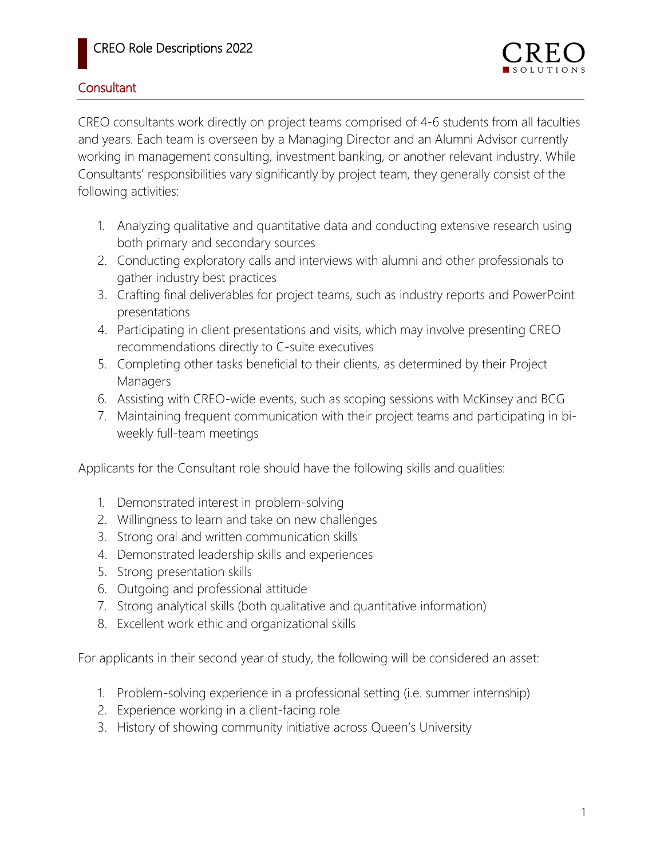## **Consultant**

CREO consultants work directly on project teams comprised of 4-6 students from all faculties and years. Each team is overseen by a Managing Director and an Alumni Advisor currently working in management consulting, investment banking, or another relevant industry. While Consultants' responsibilities vary significantly by project team, they generally consist of the following activities:

- 1. Analyzing qualitative and quantitative data and conducting extensive research using both primary and secondary sources
- 2. Conducting exploratory calls and interviews with alumni and other professionals to gather industry best practices
- 3. Crafting final deliverables for project teams, such as industry reports and PowerPoint presentations
- 4. Participating in client presentations and visits, which may involve presenting CREO recommendations directly to C-suite executives
- 5. Completing other tasks beneficial to their clients, as determined by their Project Managers
- 6. Assisting with CREO-wide events, such as scoping sessions with McKinsey and BCG
- 7. Maintaining frequent communication with their project teams and participating in biweekly full-team meetings

Applicants for the Consultant role should have the following skills and qualities:

- 1. Demonstrated interest in problem-solving
- 2. Willingness to learn and take on new challenges
- 3. Strong oral and written communication skills
- 4. Demonstrated leadership skills and experiences
- 5. Strong presentation skills
- 6. Outgoing and professional attitude
- 7. Strong analytical skills (both qualitative and quantitative information)
- 8. Excellent work ethic and organizational skills

For applicants in their second year of study, the following will be considered an asset:

- 1. Problem-solving experience in a professional setting (i.e. summer internship)
- 2. Experience working in a client-facing role
- 3. History of showing community initiative across Queen's University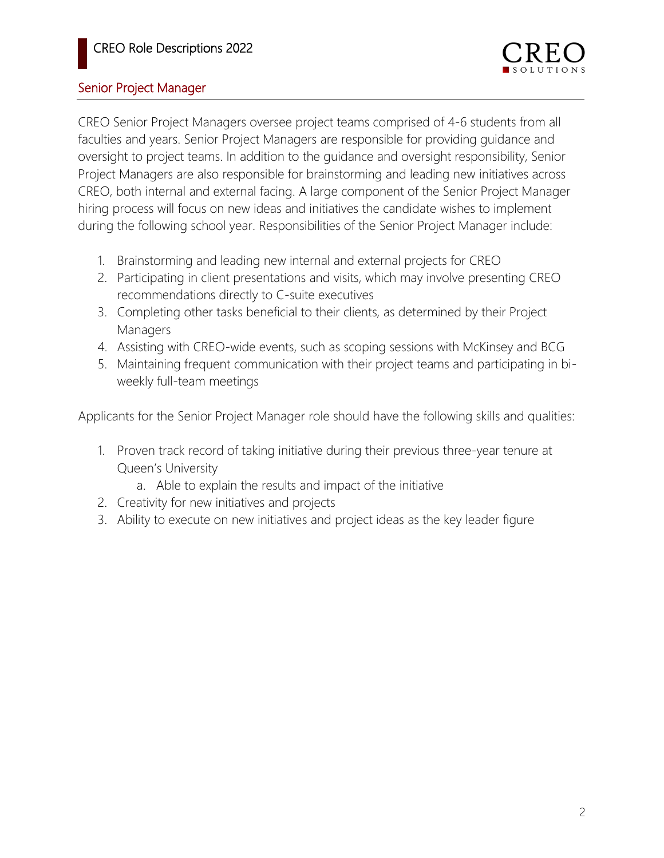## Senior Project Manager

CREO Senior Project Managers oversee project teams comprised of 4-6 students from all faculties and years. Senior Project Managers are responsible for providing guidance and oversight to project teams. In addition to the guidance and oversight responsibility, Senior Project Managers are also responsible for brainstorming and leading new initiatives across CREO, both internal and external facing. A large component of the Senior Project Manager hiring process will focus on new ideas and initiatives the candidate wishes to implement during the following school year. Responsibilities of the Senior Project Manager include:

- 1. Brainstorming and leading new internal and external projects for CREO
- 2. Participating in client presentations and visits, which may involve presenting CREO recommendations directly to C-suite executives
- 3. Completing other tasks beneficial to their clients, as determined by their Project Managers
- 4. Assisting with CREO-wide events, such as scoping sessions with McKinsey and BCG
- 5. Maintaining frequent communication with their project teams and participating in biweekly full-team meetings

Applicants for the Senior Project Manager role should have the following skills and qualities:

- 1. Proven track record of taking initiative during their previous three-year tenure at Queen's University
	- a. Able to explain the results and impact of the initiative
- 2. Creativity for new initiatives and projects
- 3. Ability to execute on new initiatives and project ideas as the key leader figure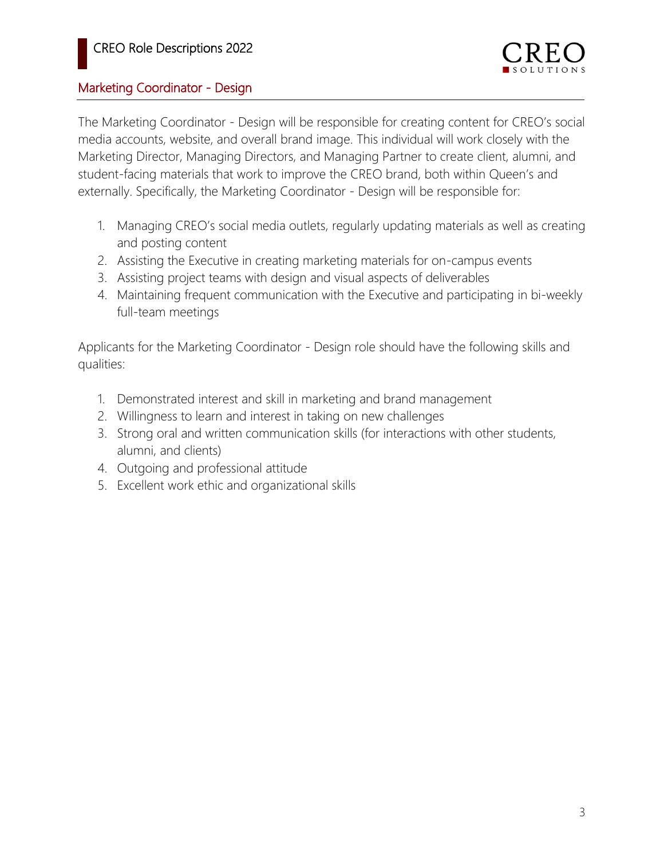## Marketing Coordinator - Design

The Marketing Coordinator - Design will be responsible for creating content for CREO's social media accounts, website, and overall brand image. This individual will work closely with the Marketing Director, Managing Directors, and Managing Partner to create client, alumni, and student-facing materials that work to improve the CREO brand, both within Queen's and externally. Specifically, the Marketing Coordinator - Design will be responsible for:

- 1. Managing CREO's social media outlets, regularly updating materials as well as creating and posting content
- 2. Assisting the Executive in creating marketing materials for on-campus events
- 3. Assisting project teams with design and visual aspects of deliverables
- 4. Maintaining frequent communication with the Executive and participating in bi-weekly full-team meetings

Applicants for the Marketing Coordinator - Design role should have the following skills and qualities:

- 1. Demonstrated interest and skill in marketing and brand management
- 2. Willingness to learn and interest in taking on new challenges
- 3. Strong oral and written communication skills (for interactions with other students, alumni, and clients)
- 4. Outgoing and professional attitude
- 5. Excellent work ethic and organizational skills